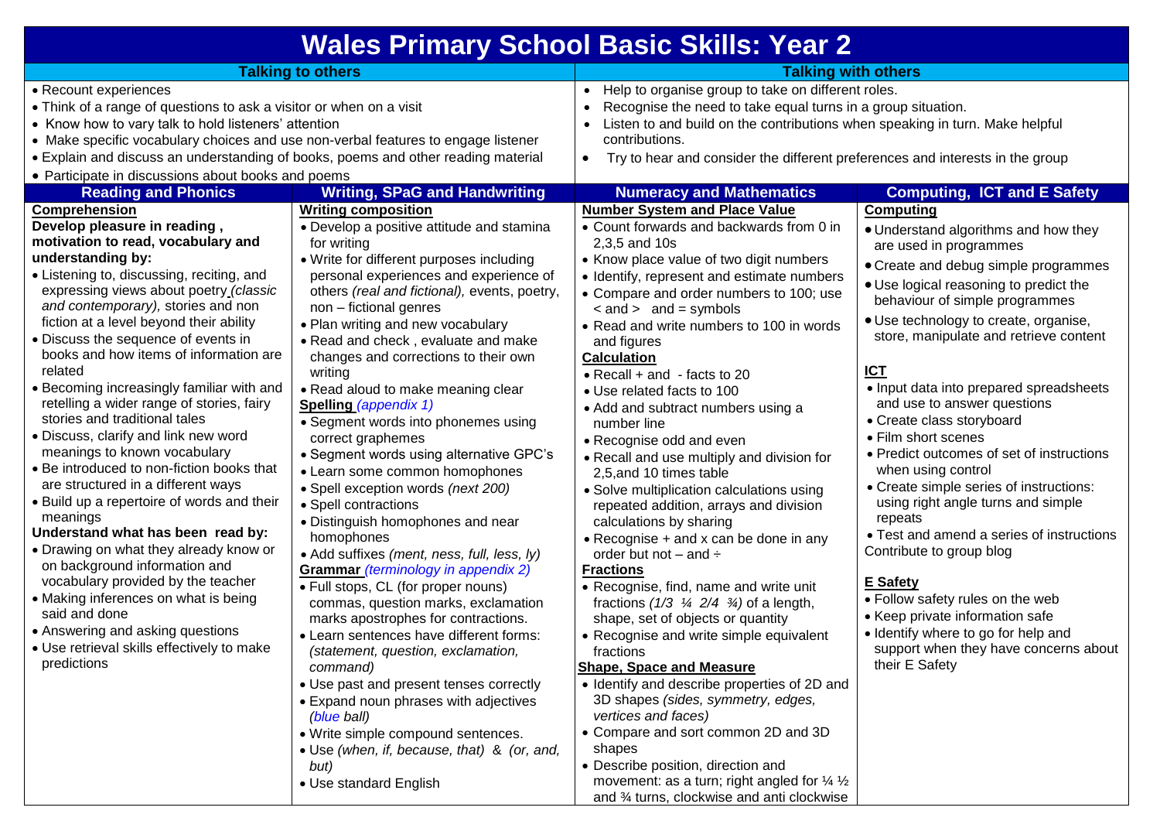| <b>Wales Primary School Basic Skills: Year 2</b>                                                                                                                                                                                                                                                                                                                                                                                                                                                                                                                                                                                                                                                                                                                                                                                                                                                                                                                                                                                                                                                                                                                                                                                                 |                                                                                                                                                                                                                                                                                                                                                                                                                                                                                                                                                                                                                                                                                                                                                                                                                                                                                  |                                                                                                                                                                                                                                                                                                                                                                                                                                                                                                                                                                                                                                                                                                                                                                                                                                                                                                                                                                                                                                                                                               |                                                                                                                                                                                                                                                                                                                                                                                                                                                                                                                                                                       |  |
|--------------------------------------------------------------------------------------------------------------------------------------------------------------------------------------------------------------------------------------------------------------------------------------------------------------------------------------------------------------------------------------------------------------------------------------------------------------------------------------------------------------------------------------------------------------------------------------------------------------------------------------------------------------------------------------------------------------------------------------------------------------------------------------------------------------------------------------------------------------------------------------------------------------------------------------------------------------------------------------------------------------------------------------------------------------------------------------------------------------------------------------------------------------------------------------------------------------------------------------------------|----------------------------------------------------------------------------------------------------------------------------------------------------------------------------------------------------------------------------------------------------------------------------------------------------------------------------------------------------------------------------------------------------------------------------------------------------------------------------------------------------------------------------------------------------------------------------------------------------------------------------------------------------------------------------------------------------------------------------------------------------------------------------------------------------------------------------------------------------------------------------------|-----------------------------------------------------------------------------------------------------------------------------------------------------------------------------------------------------------------------------------------------------------------------------------------------------------------------------------------------------------------------------------------------------------------------------------------------------------------------------------------------------------------------------------------------------------------------------------------------------------------------------------------------------------------------------------------------------------------------------------------------------------------------------------------------------------------------------------------------------------------------------------------------------------------------------------------------------------------------------------------------------------------------------------------------------------------------------------------------|-----------------------------------------------------------------------------------------------------------------------------------------------------------------------------------------------------------------------------------------------------------------------------------------------------------------------------------------------------------------------------------------------------------------------------------------------------------------------------------------------------------------------------------------------------------------------|--|
|                                                                                                                                                                                                                                                                                                                                                                                                                                                                                                                                                                                                                                                                                                                                                                                                                                                                                                                                                                                                                                                                                                                                                                                                                                                  |                                                                                                                                                                                                                                                                                                                                                                                                                                                                                                                                                                                                                                                                                                                                                                                                                                                                                  |                                                                                                                                                                                                                                                                                                                                                                                                                                                                                                                                                                                                                                                                                                                                                                                                                                                                                                                                                                                                                                                                                               |                                                                                                                                                                                                                                                                                                                                                                                                                                                                                                                                                                       |  |
| <b>Talking to others</b><br>• Recount experiences<br>• Think of a range of questions to ask a visitor or when on a visit<br>• Know how to vary talk to hold listeners' attention<br>• Make specific vocabulary choices and use non-verbal features to engage listener<br>• Explain and discuss an understanding of books, poems and other reading material<br>• Participate in discussions about books and poems<br><b>Reading and Phonics</b><br><b>Writing, SPaG and Handwriting</b><br><b>Writing composition</b><br><b>Comprehension</b><br>Develop pleasure in reading,<br>• Develop a positive attitude and stamina<br>motivation to read, vocabulary and<br>for writing<br>understanding by:<br>• Write for different purposes including<br>• Listening to, discussing, reciting, and<br>personal experiences and experience of<br>expressing views about poetry_(classic<br>others (real and fictional), events, poetry,<br>and contemporary), stories and non<br>non - fictional genres<br>fiction at a level beyond their ability<br>• Plan writing and new vocabulary<br>• Discuss the sequence of events in<br>• Read and check, evaluate and make<br>books and how items of information are<br>changes and corrections to their own |                                                                                                                                                                                                                                                                                                                                                                                                                                                                                                                                                                                                                                                                                                                                                                                                                                                                                  | <b>Talking with others</b><br>• Help to organise group to take on different roles.<br>Recognise the need to take equal turns in a group situation.<br>$\bullet$<br>Listen to and build on the contributions when speaking in turn. Make helpful<br>$\bullet$<br>contributions.<br>Try to hear and consider the different preferences and interests in the group<br>٠<br><b>Computing, ICT and E Safety</b><br><b>Numeracy and Mathematics</b><br><b>Number System and Place Value</b><br>Computing<br>• Count forwards and backwards from 0 in<br>• Understand algorithms and how they<br>2,3,5 and 10s<br>are used in programmes<br>• Know place value of two digit numbers<br>• Create and debug simple programmes<br>• Identify, represent and estimate numbers<br>• Use logical reasoning to predict the<br>• Compare and order numbers to 100; use<br>behaviour of simple programmes<br>$\leq$ and $>$ and = symbols<br>• Use technology to create, organise,<br>• Read and write numbers to 100 in words<br>store, manipulate and retrieve content<br>and figures<br><b>Calculation</b> |                                                                                                                                                                                                                                                                                                                                                                                                                                                                                                                                                                       |  |
| related<br>• Becoming increasingly familiar with and<br>retelling a wider range of stories, fairy<br>stories and traditional tales<br>• Discuss, clarify and link new word<br>meanings to known vocabulary<br>• Be introduced to non-fiction books that<br>are structured in a different ways<br>• Build up a repertoire of words and their<br>meanings<br>Understand what has been read by:<br>• Drawing on what they already know or<br>on background information and<br>vocabulary provided by the teacher<br>• Making inferences on what is being<br>said and done<br>• Answering and asking questions<br>· Use retrieval skills effectively to make<br>predictions                                                                                                                                                                                                                                                                                                                                                                                                                                                                                                                                                                          | writing<br>• Read aloud to make meaning clear<br><b>Spelling (appendix 1)</b><br>• Segment words into phonemes using<br>correct graphemes<br>• Segment words using alternative GPC's<br>• Learn some common homophones<br>· Spell exception words (next 200)<br>• Spell contractions<br>· Distinguish homophones and near<br>homophones<br>• Add suffixes (ment, ness, full, less, ly)<br><b>Grammar</b> (terminology in appendix 2)<br>• Full stops, CL (for proper nouns)<br>commas, question marks, exclamation<br>marks apostrophes for contractions.<br>• Learn sentences have different forms:<br>(statement, question, exclamation,<br>command)<br>• Use past and present tenses correctly<br>• Expand noun phrases with adjectives<br>(blue ball)<br>• Write simple compound sentences.<br>• Use (when, if, because, that) & (or, and,<br>but)<br>• Use standard English | • Recall $+$ and $-$ facts to 20<br>• Use related facts to 100<br>• Add and subtract numbers using a<br>number line<br>• Recognise odd and even<br>• Recall and use multiply and division for<br>2,5, and 10 times table<br>• Solve multiplication calculations using<br>repeated addition, arrays and division<br>calculations by sharing<br>• Recognise + and x can be done in any<br>order but not $-$ and $\div$<br><b>Fractions</b><br>• Recognise, find, name and write unit<br>fractions $(1/3 \frac{1}{4} 2/4 \frac{3}{4})$ of a length,<br>shape, set of objects or quantity<br>• Recognise and write simple equivalent<br>fractions<br><b>Shape, Space and Measure</b><br>• Identify and describe properties of 2D and<br>3D shapes (sides, symmetry, edges,<br>vertices and faces)<br>• Compare and sort common 2D and 3D<br>shapes<br>• Describe position, direction and<br>movement: as a turn; right angled for $\frac{1}{4}$ $\frac{1}{2}$<br>and 3⁄4 turns, clockwise and anti clockwise                                                                                      | <b>ICT</b><br>• Input data into prepared spreadsheets<br>and use to answer questions<br>• Create class storyboard<br>• Film short scenes<br>• Predict outcomes of set of instructions<br>when using control<br>• Create simple series of instructions:<br>using right angle turns and simple<br>repeats<br>• Test and amend a series of instructions<br>Contribute to group blog<br>E Safety<br>• Follow safety rules on the web<br>• Keep private information safe<br>• Identify where to go for help and<br>support when they have concerns about<br>their E Safety |  |